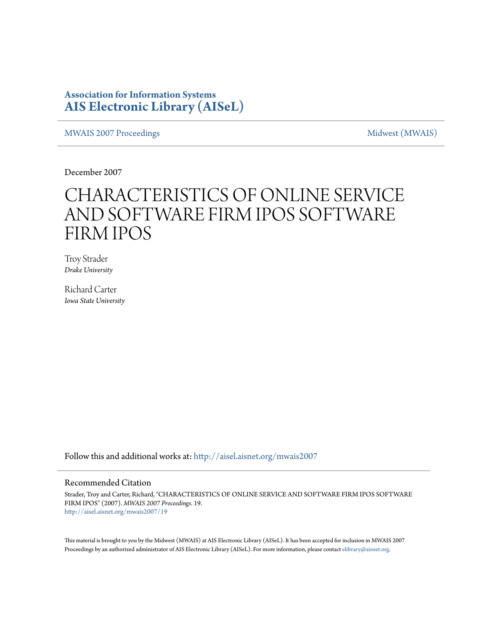### **Association for Information Systems [AIS Electronic Library \(AISeL\)](http://aisel.aisnet.org?utm_source=aisel.aisnet.org%2Fmwais2007%2F19&utm_medium=PDF&utm_campaign=PDFCoverPages)**

[MWAIS 2007 Proceedings](http://aisel.aisnet.org/mwais2007?utm_source=aisel.aisnet.org%2Fmwais2007%2F19&utm_medium=PDF&utm_campaign=PDFCoverPages) and the matrix of the [Midwest \(MWAIS\)](http://aisel.aisnet.org/mwais?utm_source=aisel.aisnet.org%2Fmwais2007%2F19&utm_medium=PDF&utm_campaign=PDFCoverPages)

December 2007

# CHARACTERISTICS OF ONLINE SERVICE AND SOFTWARE FIRM IPOS SOFTWARE FIRM IPOS

Troy Strader *Drake University*

Richard Carter *Iowa State University*

Follow this and additional works at: [http://aisel.aisnet.org/mwais2007](http://aisel.aisnet.org/mwais2007?utm_source=aisel.aisnet.org%2Fmwais2007%2F19&utm_medium=PDF&utm_campaign=PDFCoverPages)

#### Recommended Citation

Strader, Troy and Carter, Richard, "CHARACTERISTICS OF ONLINE SERVICE AND SOFTWARE FIRM IPOS SOFTWARE FIRM IPOS" (2007). *MWAIS 2007 Proceedings*. 19. [http://aisel.aisnet.org/mwais2007/19](http://aisel.aisnet.org/mwais2007/19?utm_source=aisel.aisnet.org%2Fmwais2007%2F19&utm_medium=PDF&utm_campaign=PDFCoverPages)

This material is brought to you by the Midwest (MWAIS) at AIS Electronic Library (AISeL). It has been accepted for inclusion in MWAIS 2007 Proceedings by an authorized administrator of AIS Electronic Library (AISeL). For more information, please contact [elibrary@aisnet.org](mailto:elibrary@aisnet.org%3E).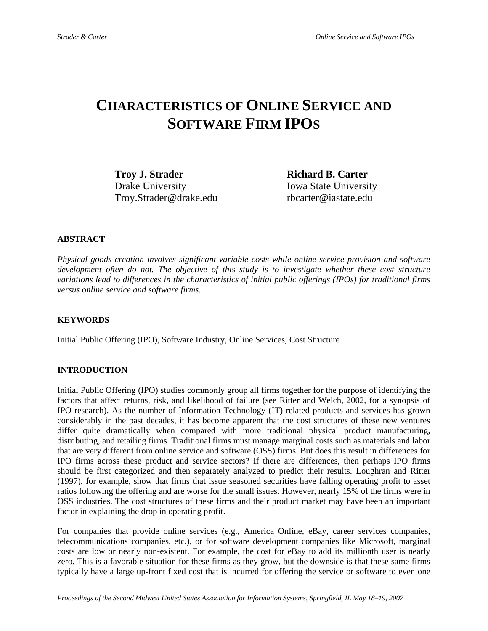## **CHARACTERISTICS OF ONLINE SERVICE AND SOFTWARE FIRM IPOS**

**Troy J. Strader Richard B. Carter** Drake University Iowa State University Troy.Strader@drake.edu rbcarter@iastate.edu

#### **ABSTRACT**

*Physical goods creation involves significant variable costs while online service provision and software development often do not. The objective of this study is to investigate whether these cost structure variations lead to differences in the characteristics of initial public offerings (IPOs) for traditional firms versus online service and software firms.* 

#### **KEYWORDS**

Initial Public Offering (IPO), Software Industry, Online Services, Cost Structure

#### **INTRODUCTION**

Initial Public Offering (IPO) studies commonly group all firms together for the purpose of identifying the factors that affect returns, risk, and likelihood of failure (see Ritter and Welch, 2002, for a synopsis of IPO research). As the number of Information Technology (IT) related products and services has grown considerably in the past decades, it has become apparent that the cost structures of these new ventures differ quite dramatically when compared with more traditional physical product manufacturing, distributing, and retailing firms. Traditional firms must manage marginal costs such as materials and labor that are very different from online service and software (OSS) firms. But does this result in differences for IPO firms across these product and service sectors? If there are differences, then perhaps IPO firms should be first categorized and then separately analyzed to predict their results. Loughran and Ritter (1997), for example, show that firms that issue seasoned securities have falling operating profit to asset ratios following the offering and are worse for the small issues. However, nearly 15% of the firms were in OSS industries. The cost structures of these firms and their product market may have been an important factor in explaining the drop in operating profit.

For companies that provide online services (e.g., America Online, eBay, career services companies, telecommunications companies, etc.), or for software development companies like Microsoft, marginal costs are low or nearly non-existent. For example, the cost for eBay to add its millionth user is nearly zero. This is a favorable situation for these firms as they grow, but the downside is that these same firms typically have a large up-front fixed cost that is incurred for offering the service or software to even one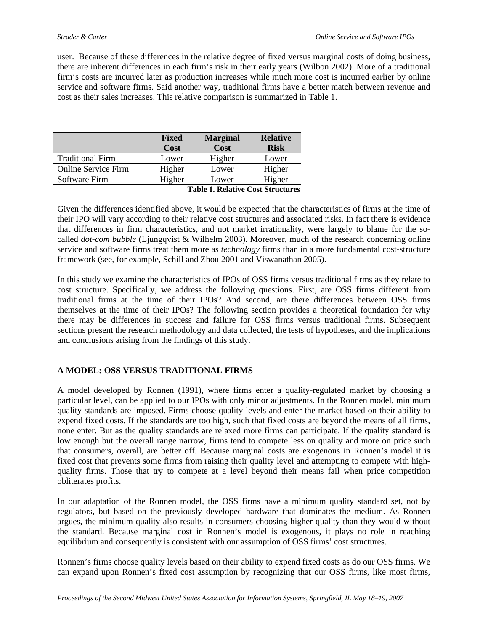user. Because of these differences in the relative degree of fixed versus marginal costs of doing business, there are inherent differences in each firm's risk in their early years (Wilbon 2002). More of a traditional firm's costs are incurred later as production increases while much more cost is incurred earlier by online service and software firms. Said another way, traditional firms have a better match between revenue and cost as their sales increases. This relative comparison is summarized in Table 1.

|                                            | <b>Fixed</b> | <b>Marginal</b> | <b>Relative</b> |  |  |
|--------------------------------------------|--------------|-----------------|-----------------|--|--|
|                                            | Cost         | Cost            | <b>Risk</b>     |  |  |
| <b>Traditional Firm</b>                    | Lower        | Higher          | Lower           |  |  |
| <b>Online Service Firm</b>                 | Higher       | Lower           | Higher          |  |  |
| Software Firm                              | Higher       | Lower           | Higher          |  |  |
| $\sim$ $\sim$ $\sim$ $\sim$<br>.<br>-- - - |              |                 |                 |  |  |

**Table 1. Relative Cost Structures** 

Given the differences identified above, it would be expected that the characteristics of firms at the time of their IPO will vary according to their relative cost structures and associated risks. In fact there is evidence that differences in firm characteristics, and not market irrationality, were largely to blame for the socalled *dot-com bubble* (Ljungqvist & Wilhelm 2003). Moreover, much of the research concerning online service and software firms treat them more as *technology* firms than in a more fundamental cost-structure framework (see, for example, Schill and Zhou 2001 and Viswanathan 2005).

In this study we examine the characteristics of IPOs of OSS firms versus traditional firms as they relate to cost structure. Specifically, we address the following questions. First, are OSS firms different from traditional firms at the time of their IPOs? And second, are there differences between OSS firms themselves at the time of their IPOs? The following section provides a theoretical foundation for why there may be differences in success and failure for OSS firms versus traditional firms. Subsequent sections present the research methodology and data collected, the tests of hypotheses, and the implications and conclusions arising from the findings of this study.

#### **A MODEL: OSS VERSUS TRADITIONAL FIRMS**

A model developed by Ronnen (1991), where firms enter a quality-regulated market by choosing a particular level, can be applied to our IPOs with only minor adjustments. In the Ronnen model, minimum quality standards are imposed. Firms choose quality levels and enter the market based on their ability to expend fixed costs. If the standards are too high, such that fixed costs are beyond the means of all firms, none enter. But as the quality standards are relaxed more firms can participate. If the quality standard is low enough but the overall range narrow, firms tend to compete less on quality and more on price such that consumers, overall, are better off. Because marginal costs are exogenous in Ronnen's model it is fixed cost that prevents some firms from raising their quality level and attempting to compete with highquality firms. Those that try to compete at a level beyond their means fail when price competition obliterates profits.

In our adaptation of the Ronnen model, the OSS firms have a minimum quality standard set, not by regulators, but based on the previously developed hardware that dominates the medium. As Ronnen argues, the minimum quality also results in consumers choosing higher quality than they would without the standard. Because marginal cost in Ronnen's model is exogenous, it plays no role in reaching equilibrium and consequently is consistent with our assumption of OSS firms' cost structures.

Ronnen's firms choose quality levels based on their ability to expend fixed costs as do our OSS firms. We can expand upon Ronnen's fixed cost assumption by recognizing that our OSS firms, like most firms,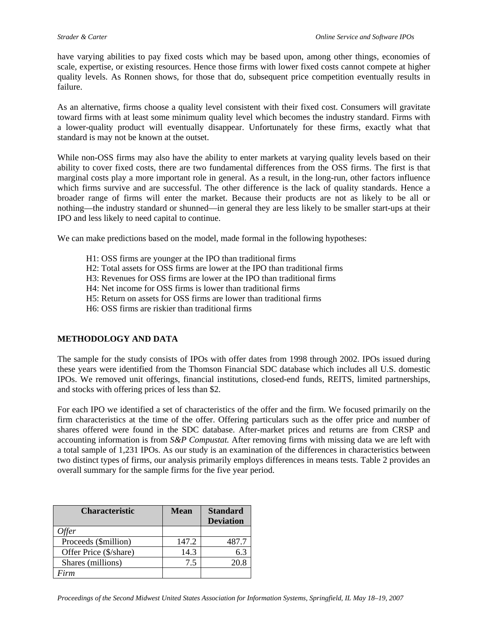have varying abilities to pay fixed costs which may be based upon, among other things, economies of scale, expertise, or existing resources. Hence those firms with lower fixed costs cannot compete at higher quality levels. As Ronnen shows, for those that do, subsequent price competition eventually results in failure.

As an alternative, firms choose a quality level consistent with their fixed cost. Consumers will gravitate toward firms with at least some minimum quality level which becomes the industry standard. Firms with a lower-quality product will eventually disappear. Unfortunately for these firms, exactly what that standard is may not be known at the outset.

While non-OSS firms may also have the ability to enter markets at varying quality levels based on their ability to cover fixed costs, there are two fundamental differences from the OSS firms. The first is that marginal costs play a more important role in general. As a result, in the long-run, other factors influence which firms survive and are successful. The other difference is the lack of quality standards. Hence a broader range of firms will enter the market. Because their products are not as likely to be all or nothing—the industry standard or shunned—in general they are less likely to be smaller start-ups at their IPO and less likely to need capital to continue.

We can make predictions based on the model, made formal in the following hypotheses:

- H1: OSS firms are younger at the IPO than traditional firms
- H2: Total assets for OSS firms are lower at the IPO than traditional firms
- H3: Revenues for OSS firms are lower at the IPO than traditional firms
- H4: Net income for OSS firms is lower than traditional firms
- H5: Return on assets for OSS firms are lower than traditional firms
- H6: OSS firms are riskier than traditional firms

#### **METHODOLOGY AND DATA**

The sample for the study consists of IPOs with offer dates from 1998 through 2002. IPOs issued during these years were identified from the Thomson Financial SDC database which includes all U.S. domestic IPOs. We removed unit offerings, financial institutions, closed-end funds, REITS, limited partnerships, and stocks with offering prices of less than \$2.

For each IPO we identified a set of characteristics of the offer and the firm. We focused primarily on the firm characteristics at the time of the offer. Offering particulars such as the offer price and number of shares offered were found in the SDC database. After-market prices and returns are from CRSP and accounting information is from *S&P Compustat.* After removing firms with missing data we are left with a total sample of 1,231 IPOs. As our study is an examination of the differences in characteristics between two distinct types of firms, our analysis primarily employs differences in means tests. Table 2 provides an overall summary for the sample firms for the five year period.

| <b>Characteristic</b>  | <b>Mean</b> | <b>Standard</b><br><b>Deviation</b> |
|------------------------|-------------|-------------------------------------|
| )ffer                  |             |                                     |
| Proceeds (\$million)   | 147.2       | 487.7                               |
| Offer Price (\$/share) | 14.3        | 6.3                                 |
| Shares (millions)      | 7.5         | 20.8                                |
| Firm                   |             |                                     |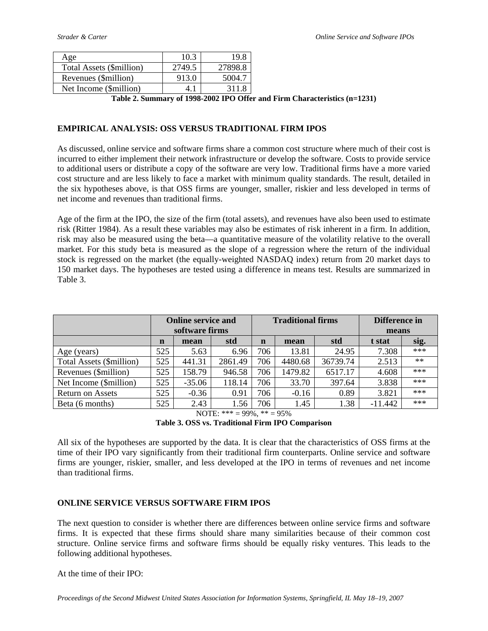| Age                      | 10.3   | 19.8    |
|--------------------------|--------|---------|
| Total Assets (\$million) | 2749.5 | 27898.8 |
| Revenues (\$million)     | 913.0  | 5004.7  |
| Net Income (\$million)   | 4. 1   | 311.8   |

**Table 2. Summary of 1998-2002 IPO Offer and Firm Characteristics (n=1231)** 

#### **EMPIRICAL ANALYSIS: OSS VERSUS TRADITIONAL FIRM IPOS**

As discussed, online service and software firms share a common cost structure where much of their cost is incurred to either implement their network infrastructure or develop the software. Costs to provide service to additional users or distribute a copy of the software are very low. Traditional firms have a more varied cost structure and are less likely to face a market with minimum quality standards. The result, detailed in the six hypotheses above, is that OSS firms are younger, smaller, riskier and less developed in terms of net income and revenues than traditional firms.

Age of the firm at the IPO, the size of the firm (total assets), and revenues have also been used to estimate risk (Ritter 1984). As a result these variables may also be estimates of risk inherent in a firm. In addition, risk may also be measured using the beta—a quantitative measure of the volatility relative to the overall market. For this study beta is measured as the slope of a regression where the return of the individual stock is regressed on the market (the equally-weighted NASDAQ index) return from 20 market days to 150 market days. The hypotheses are tested using a difference in means test. Results are summarized in Table 3.

|                          | <b>Online service and</b><br>software firms |          |         |             | <b>Traditional firms</b> |          | Difference in<br>means |       |
|--------------------------|---------------------------------------------|----------|---------|-------------|--------------------------|----------|------------------------|-------|
|                          | $\mathbf n$                                 | mean     | std     | $\mathbf n$ | mean                     | std      | t stat                 | sig.  |
| Age (years)              | 525                                         | 5.63     | 6.96    | 706         | 13.81                    | 24.95    | 7.308                  | ***   |
| Total Assets (\$million) | 525                                         | 441.31   | 2861.49 | 706         | 4480.68                  | 36739.74 | 2.513                  | $**$  |
| Revenues (\$million)     | 525                                         | 158.79   | 946.58  | 706         | 1479.82                  | 6517.17  | 4.608                  | ***   |
| Net Income (\$million)   | 525                                         | $-35.06$ | 118.14  | 706         | 33.70                    | 397.64   | 3.838                  | ***   |
| <b>Return on Assets</b>  | 525                                         | $-0.36$  | 0.91    | 706         | $-0.16$                  | 0.89     | 3.821                  | $***$ |
| Beta (6 months)          | 525                                         | 2.43     | 1.56    | 706         | 1.45                     | 1.38     | $-11.442$              | $***$ |

NOTE: \*\*\* = 99%, \*\* = 95%

**Table 3. OSS vs. Traditional Firm IPO Comparison** 

All six of the hypotheses are supported by the data. It is clear that the characteristics of OSS firms at the time of their IPO vary significantly from their traditional firm counterparts. Online service and software firms are younger, riskier, smaller, and less developed at the IPO in terms of revenues and net income than traditional firms.

#### **ONLINE SERVICE VERSUS SOFTWARE FIRM IPOS**

The next question to consider is whether there are differences between online service firms and software firms. It is expected that these firms should share many similarities because of their common cost structure. Online service firms and software firms should be equally risky ventures. This leads to the following additional hypotheses.

At the time of their IPO: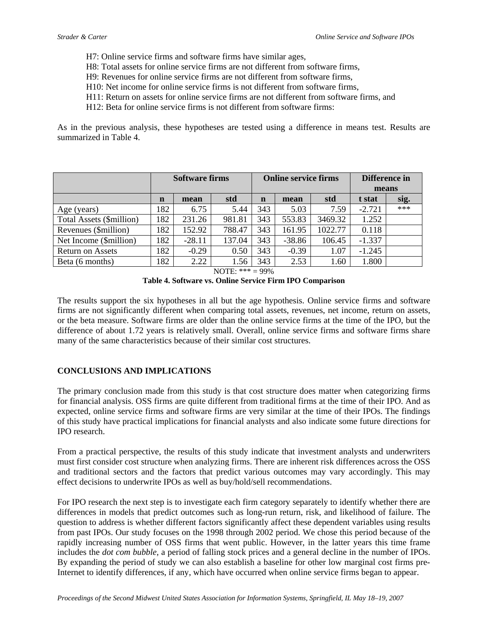- H7: Online service firms and software firms have similar ages,
- H8: Total assets for online service firms are not different from software firms,
- H9: Revenues for online service firms are not different from software firms,
- H10: Net income for online service firms is not different from software firms,
- H11: Return on assets for online service firms are not different from software firms, and
- H12: Beta for online service firms is not different from software firms:

As in the previous analysis, these hypotheses are tested using a difference in means test. Results are summarized in Table 4.

|                          | <b>Software firms</b> |          | <b>Online service firms</b> |             |          | Difference in |          |      |
|--------------------------|-----------------------|----------|-----------------------------|-------------|----------|---------------|----------|------|
|                          |                       |          |                             |             |          |               | means    |      |
|                          | $\mathbf n$           | mean     | std                         | $\mathbf n$ | mean     | std           | t stat   | sig. |
| Age (years)              | 182                   | 6.75     | 5.44                        | 343         | 5.03     | 7.59          | $-2.721$ | ***  |
| Total Assets (\$million) | 182                   | 231.26   | 981.81                      | 343         | 553.83   | 3469.32       | 1.252    |      |
| Revenues (\$million)     | 182                   | 152.92   | 788.47                      | 343         | 161.95   | 1022.77       | 0.118    |      |
| Net Income (\$million)   | 182                   | $-28.11$ | 137.04                      | 343         | $-38.86$ | 106.45        | $-1.337$ |      |
| <b>Return on Assets</b>  | 182                   | $-0.29$  | 0.50                        | 343         | $-0.39$  | 1.07          | $-1.245$ |      |
| Beta (6 months)          | 182                   | 2.22     | 1.56                        | 343         | 2.53     | l.60          | 1.800    |      |

NOTE: \*\*\* = 99%

**Table 4. Software vs. Online Service Firm IPO Comparison** 

The results support the six hypotheses in all but the age hypothesis. Online service firms and software firms are not significantly different when comparing total assets, revenues, net income, return on assets, or the beta measure. Software firms are older than the online service firms at the time of the IPO, but the difference of about 1.72 years is relatively small. Overall, online service firms and software firms share many of the same characteristics because of their similar cost structures.

#### **CONCLUSIONS AND IMPLICATIONS**

The primary conclusion made from this study is that cost structure does matter when categorizing firms for financial analysis. OSS firms are quite different from traditional firms at the time of their IPO. And as expected, online service firms and software firms are very similar at the time of their IPOs. The findings of this study have practical implications for financial analysts and also indicate some future directions for IPO research.

From a practical perspective, the results of this study indicate that investment analysts and underwriters must first consider cost structure when analyzing firms. There are inherent risk differences across the OSS and traditional sectors and the factors that predict various outcomes may vary accordingly. This may effect decisions to underwrite IPOs as well as buy/hold/sell recommendations.

For IPO research the next step is to investigate each firm category separately to identify whether there are differences in models that predict outcomes such as long-run return, risk, and likelihood of failure. The question to address is whether different factors significantly affect these dependent variables using results from past IPOs. Our study focuses on the 1998 through 2002 period. We chose this period because of the rapidly increasing number of OSS firms that went public. However, in the latter years this time frame includes the *dot com bubble,* a period of falling stock prices and a general decline in the number of IPOs. By expanding the period of study we can also establish a baseline for other low marginal cost firms pre-Internet to identify differences, if any, which have occurred when online service firms began to appear.